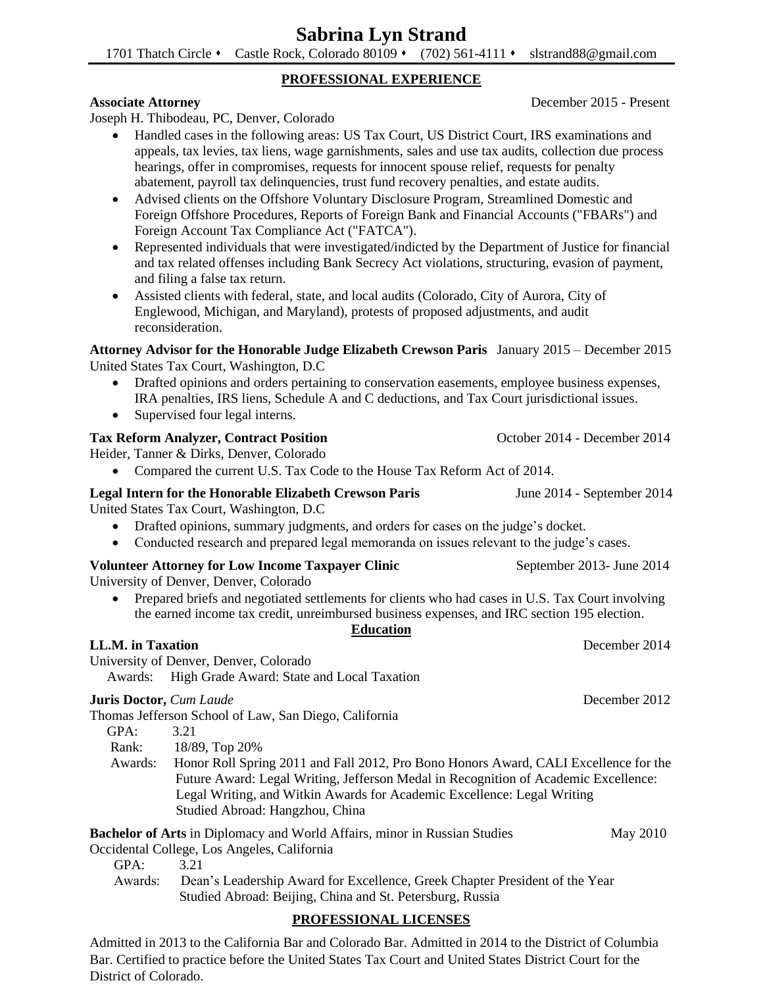# **Sabrina Lyn Strand**

1701 Thatch Circle • Castle Rock, Colorado 80109 • (702) 561-4111 • slstrand88@gmail.com

### **PROFESSIONAL EXPERIENCE**

Joseph H. Thibodeau, PC, Denver, Colorado

- Handled cases in the following areas: US Tax Court, US District Court, IRS examinations and appeals, tax levies, tax liens, wage garnishments, sales and use tax audits, collection due process hearings, offer in compromises, requests for innocent spouse relief, requests for penalty abatement, payroll tax delinquencies, trust fund recovery penalties, and estate audits.
- Advised clients on the Offshore Voluntary Disclosure Program, Streamlined Domestic and Foreign Offshore Procedures, Reports of Foreign Bank and Financial Accounts ("FBARs") and Foreign Account Tax Compliance Act ("FATCA").
- Represented individuals that were investigated/indicted by the Department of Justice for financial and tax related offenses including Bank Secrecy Act violations, structuring, evasion of payment, and filing a false tax return.
- Assisted clients with federal, state, and local audits (Colorado, City of Aurora, City of Englewood, Michigan, and Maryland), protests of proposed adjustments, and audit reconsideration.

### **Attorney Advisor for the Honorable Judge Elizabeth Crewson Paris** January 2015 – December 2015 United States Tax Court, Washington, D.C

- Drafted opinions and orders pertaining to conservation easements, employee business expenses, IRA penalties, IRS liens, Schedule A and C deductions, and Tax Court jurisdictional issues.
- Supervised four legal interns.

# **Tax Reform Analyzer, Contract Position 1996 1997 1998 10:30 October 2014 - December 2014**

Heider, Tanner & Dirks, Denver, Colorado

• Compared the current U.S. Tax Code to the House Tax Reform Act of 2014.

### **Legal Intern for the Honorable Elizabeth Crewson Paris** June 2014 - September 2014

United States Tax Court, Washington, D.C

- Drafted opinions, summary judgments, and orders for cases on the judge's docket.
- Conducted research and prepared legal memoranda on issues relevant to the judge's cases.

# **Volunteer Attorney for Low Income Taxpayer Clinic September 2013- June 2014**

University of Denver, Denver, Colorado

• Prepared briefs and negotiated settlements for clients who had cases in U.S. Tax Court involving the earned income tax credit, unreimbursed business expenses, and IRC section 195 election.

# **Education**

University of Denver, Denver, Colorado

Awards: High Grade Award: State and Local Taxation

### **Juris Doctor,** *Cum Laude* **December 2012**

Thomas Jefferson School of Law, San Diego, California

| GPA:    | 3.21                                                                                 |
|---------|--------------------------------------------------------------------------------------|
| Rank:   | 18/89, Top 20%                                                                       |
| Awards: | Honor Roll Spring 2011 and Fall 2012, Pro Bono Honors Award, CALI Excellence for the |
|         | Future Award: Legal Writing, Jefferson Medal in Recognition of Academic Excellence:  |
|         | Legal Writing, and Witkin Awards for Academic Excellence: Legal Writing              |
|         | Studied Abroad: Hangzhou, China                                                      |

**Bachelor of Arts** in Diplomacy and World Affairs, minor in Russian Studies May 2010

Occidental College, Los Angeles, California

GPA: 3.21

 Awards: Dean's Leadership Award for Excellence, Greek Chapter President of the Year Studied Abroad: Beijing, China and St. Petersburg, Russia

# **PROFESSIONAL LICENSES**

Admitted in 2013 to the California Bar and Colorado Bar. Admitted in 2014 to the District of Columbia Bar. Certified to practice before the United States Tax Court and United States District Court for the District of Colorado.

**Associate Attorney** December 2015 - Present

**LL.M. in Taxation** December 2014